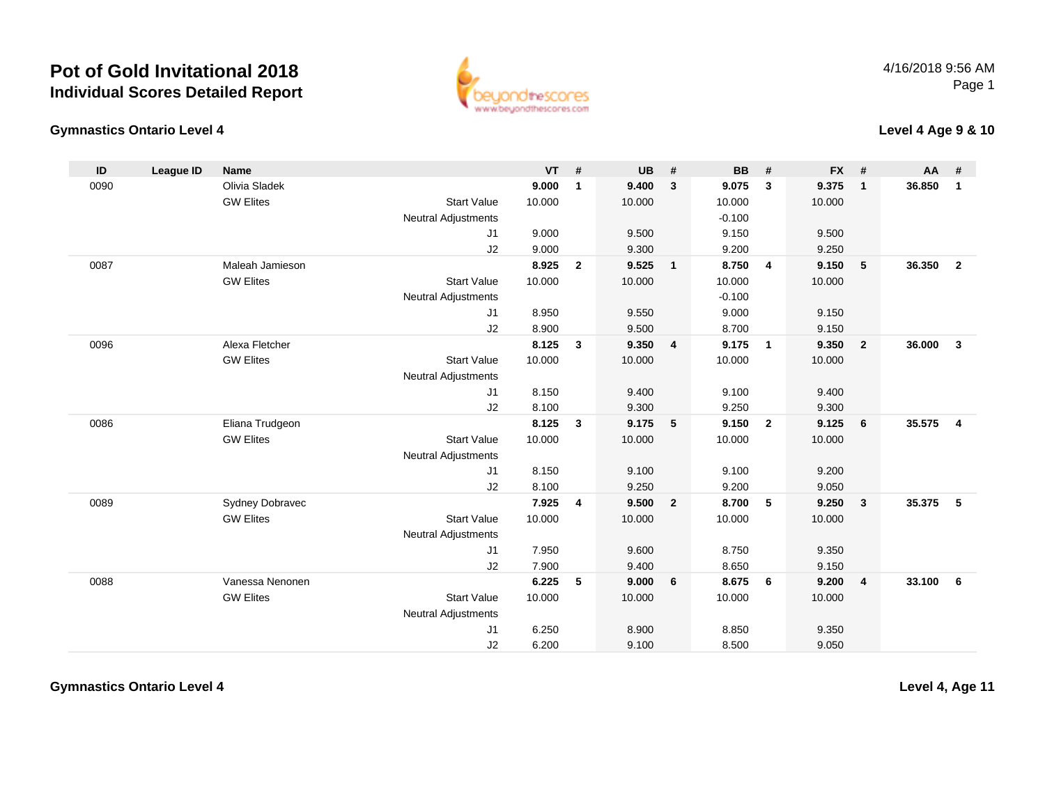

#### **Gymnastics Ontario Level 4**

**Level 4 Age 9 & 10**

| ID   | <b>League ID</b> | <b>Name</b>      |                            | $VT$ # |                | <b>UB</b> | #              | <b>BB</b> | #              | <b>FX</b> | #              | AA     | #              |
|------|------------------|------------------|----------------------------|--------|----------------|-----------|----------------|-----------|----------------|-----------|----------------|--------|----------------|
| 0090 |                  | Olivia Sladek    |                            | 9.000  | 1              | 9.400     | 3              | 9.075     | $\mathbf{3}$   | 9.375     | $\mathbf{1}$   | 36.850 | $\mathbf{1}$   |
|      |                  | <b>GW Elites</b> | <b>Start Value</b>         | 10.000 |                | 10.000    |                | 10.000    |                | 10.000    |                |        |                |
|      |                  |                  | <b>Neutral Adjustments</b> |        |                |           |                | $-0.100$  |                |           |                |        |                |
|      |                  |                  | J1                         | 9.000  |                | 9.500     |                | 9.150     |                | 9.500     |                |        |                |
|      |                  |                  | J2                         | 9.000  |                | 9.300     |                | 9.200     |                | 9.250     |                |        |                |
| 0087 |                  | Maleah Jamieson  |                            | 8.925  | $\overline{2}$ | 9.525     | $\mathbf{1}$   | 8.750     | $\overline{4}$ | 9.150     | 5              | 36.350 | $\overline{2}$ |
|      |                  | <b>GW Elites</b> | <b>Start Value</b>         | 10.000 |                | 10.000    |                | 10.000    |                | 10.000    |                |        |                |
|      |                  |                  | <b>Neutral Adjustments</b> |        |                |           |                | $-0.100$  |                |           |                |        |                |
|      |                  |                  | J1                         | 8.950  |                | 9.550     |                | 9.000     |                | 9.150     |                |        |                |
|      |                  |                  | J2                         | 8.900  |                | 9.500     |                | 8.700     |                | 9.150     |                |        |                |
| 0096 |                  | Alexa Fletcher   |                            | 8.125  | 3              | 9.350     | 4              | 9.175     | $\overline{1}$ | 9.350     | $\overline{2}$ | 36.000 | $\mathbf{3}$   |
|      |                  | <b>GW Elites</b> | <b>Start Value</b>         | 10.000 |                | 10.000    |                | 10.000    |                | 10.000    |                |        |                |
|      |                  |                  | <b>Neutral Adjustments</b> |        |                |           |                |           |                |           |                |        |                |
|      |                  |                  | J1                         | 8.150  |                | 9.400     |                | 9.100     |                | 9.400     |                |        |                |
|      |                  |                  | J2                         | 8.100  |                | 9.300     |                | 9.250     |                | 9.300     |                |        |                |
| 0086 |                  | Eliana Trudgeon  |                            | 8.125  | $\mathbf{3}$   | 9.175     | 5              | 9.150     | $\overline{2}$ | 9.125     | 6              | 35.575 | $\overline{4}$ |
|      |                  | <b>GW Elites</b> | <b>Start Value</b>         | 10.000 |                | 10.000    |                | 10.000    |                | 10.000    |                |        |                |
|      |                  |                  | <b>Neutral Adjustments</b> |        |                |           |                |           |                |           |                |        |                |
|      |                  |                  | J <sub>1</sub>             | 8.150  |                | 9.100     |                | 9.100     |                | 9.200     |                |        |                |
|      |                  |                  | J2                         | 8.100  |                | 9.250     |                | 9.200     |                | 9.050     |                |        |                |
| 0089 |                  | Sydney Dobravec  |                            | 7.925  | 4              | 9.500     | $\overline{2}$ | 8.700     | 5              | 9.250     | $\mathbf{3}$   | 35.375 | 5              |
|      |                  | <b>GW Elites</b> | <b>Start Value</b>         | 10.000 |                | 10.000    |                | 10.000    |                | 10.000    |                |        |                |
|      |                  |                  | <b>Neutral Adjustments</b> |        |                |           |                |           |                |           |                |        |                |
|      |                  |                  | J1                         | 7.950  |                | 9.600     |                | 8.750     |                | 9.350     |                |        |                |
|      |                  |                  | J2                         | 7.900  |                | 9.400     |                | 8.650     |                | 9.150     |                |        |                |
| 0088 |                  | Vanessa Nenonen  |                            | 6.225  | 5              | 9.000     | 6              | 8.675     | 6              | 9.200     | $\overline{4}$ | 33.100 | 6              |
|      |                  | <b>GW Elites</b> | <b>Start Value</b>         | 10.000 |                | 10.000    |                | 10.000    |                | 10.000    |                |        |                |
|      |                  |                  | <b>Neutral Adjustments</b> |        |                |           |                |           |                |           |                |        |                |
|      |                  |                  | J <sub>1</sub>             | 6.250  |                | 8.900     |                | 8.850     |                | 9.350     |                |        |                |
|      |                  |                  | J2                         | 6.200  |                | 9.100     |                | 8.500     |                | 9.050     |                |        |                |

**Gymnastics Ontario Level 4**

**Level 4, Age 11**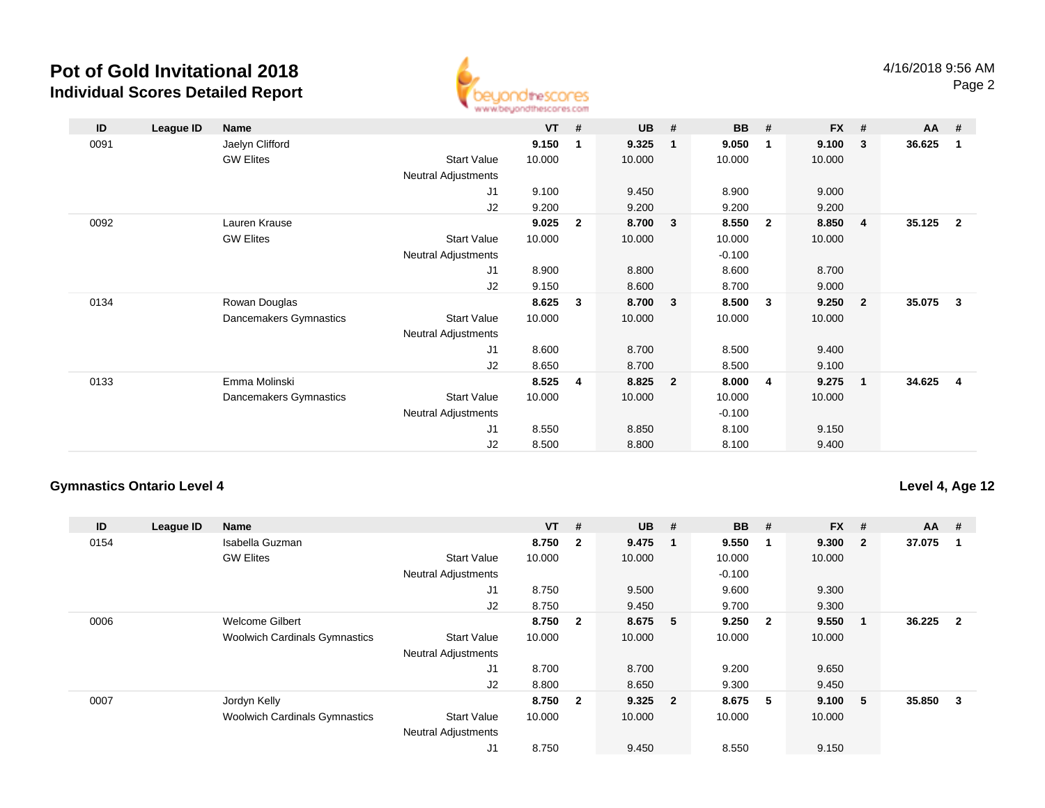

| ID   | League ID | Name                   |                            | <b>VT</b> | #              | <b>UB</b> | #              | <b>BB</b> | #              | <b>FX</b> | #                       | AA     | #                       |
|------|-----------|------------------------|----------------------------|-----------|----------------|-----------|----------------|-----------|----------------|-----------|-------------------------|--------|-------------------------|
| 0091 |           | Jaelyn Clifford        |                            | 9.150     | 1              | 9.325     | -1             | 9.050     | 1              | 9.100     | $\mathbf{3}$            | 36.625 | $\mathbf{1}$            |
|      |           | <b>GW Elites</b>       | <b>Start Value</b>         | 10.000    |                | 10.000    |                | 10.000    |                | 10.000    |                         |        |                         |
|      |           |                        | Neutral Adjustments        |           |                |           |                |           |                |           |                         |        |                         |
|      |           |                        | J1                         | 9.100     |                | 9.450     |                | 8.900     |                | 9.000     |                         |        |                         |
|      |           |                        | J2                         | 9.200     |                | 9.200     |                | 9.200     |                | 9.200     |                         |        |                         |
| 0092 |           | Lauren Krause          |                            | 9.025     | $\overline{2}$ | 8.700     | 3              | 8.550     | $\overline{2}$ | 8.850     | $\overline{4}$          | 35.125 | $\overline{\mathbf{2}}$ |
|      |           | <b>GW Elites</b>       | <b>Start Value</b>         | 10.000    |                | 10.000    |                | 10.000    |                | 10.000    |                         |        |                         |
|      |           |                        | Neutral Adjustments        |           |                |           |                | $-0.100$  |                |           |                         |        |                         |
|      |           |                        | J1                         | 8.900     |                | 8.800     |                | 8.600     |                | 8.700     |                         |        |                         |
|      |           |                        | J2                         | 9.150     |                | 8.600     |                | 8.700     |                | 9.000     |                         |        |                         |
| 0134 |           | Rowan Douglas          |                            | 8.625     | 3              | 8.700     | 3              | 8.500     | 3              | 9.250     | $\overline{\mathbf{2}}$ | 35.075 | $\overline{\mathbf{3}}$ |
|      |           | Dancemakers Gymnastics | <b>Start Value</b>         | 10.000    |                | 10.000    |                | 10.000    |                | 10.000    |                         |        |                         |
|      |           |                        | <b>Neutral Adjustments</b> |           |                |           |                |           |                |           |                         |        |                         |
|      |           |                        | J1                         | 8.600     |                | 8.700     |                | 8.500     |                | 9.400     |                         |        |                         |
|      |           |                        | J2                         | 8.650     |                | 8.700     |                | 8.500     |                | 9.100     |                         |        |                         |
| 0133 |           | Emma Molinski          |                            | 8.525     | 4              | 8.825     | $\overline{2}$ | 8.000     | 4              | 9.275     | $\overline{\mathbf{1}}$ | 34.625 | 4                       |
|      |           | Dancemakers Gymnastics | <b>Start Value</b>         | 10.000    |                | 10.000    |                | 10.000    |                | 10.000    |                         |        |                         |
|      |           |                        | <b>Neutral Adjustments</b> |           |                |           |                | $-0.100$  |                |           |                         |        |                         |
|      |           |                        | J1                         | 8.550     |                | 8.850     |                | 8.100     |                | 9.150     |                         |        |                         |
|      |           |                        | J2                         | 8.500     |                | 8.800     |                | 8.100     |                | 9.400     |                         |        |                         |

#### **Gymnastics Ontario Level 4**

**Level 4, Age 12**

| ID   | League ID | <b>Name</b>                          |                            | $VT$ # |                         | <b>UB</b> | #                       | <b>BB</b> | #                       | <b>FX</b> | #            | $AA$ # |              |
|------|-----------|--------------------------------------|----------------------------|--------|-------------------------|-----------|-------------------------|-----------|-------------------------|-----------|--------------|--------|--------------|
| 0154 |           | Isabella Guzman                      |                            | 8.750  | $\overline{2}$          | 9.475     | -1                      | 9.550     | -1                      | 9.300     | $\mathbf{2}$ | 37.075 |              |
|      |           | <b>GW Elites</b>                     | <b>Start Value</b>         | 10.000 |                         | 10.000    |                         | 10.000    |                         | 10.000    |              |        |              |
|      |           |                                      | <b>Neutral Adjustments</b> |        |                         |           |                         | $-0.100$  |                         |           |              |        |              |
|      |           |                                      | J <sub>1</sub>             | 8.750  |                         | 9.500     |                         | 9.600     |                         | 9.300     |              |        |              |
|      |           |                                      | J2                         | 8.750  |                         | 9.450     |                         | 9.700     |                         | 9.300     |              |        |              |
| 0006 |           | <b>Welcome Gilbert</b>               |                            | 8.750  | $\overline{\mathbf{2}}$ | 8.675     | - 5                     | 9.250     | $\overline{\mathbf{2}}$ | 9.550     | -1           | 36.225 | $\mathbf{2}$ |
|      |           | <b>Woolwich Cardinals Gymnastics</b> | <b>Start Value</b>         | 10.000 |                         | 10.000    |                         | 10.000    |                         | 10.000    |              |        |              |
|      |           |                                      | <b>Neutral Adjustments</b> |        |                         |           |                         |           |                         |           |              |        |              |
|      |           |                                      | J <sub>1</sub>             | 8.700  |                         | 8.700     |                         | 9.200     |                         | 9.650     |              |        |              |
|      |           |                                      | J2                         | 8.800  |                         | 8.650     |                         | 9.300     |                         | 9.450     |              |        |              |
| 0007 |           | Jordyn Kelly                         |                            | 8.750  | $\overline{\mathbf{2}}$ | 9.325     | $\overline{\mathbf{2}}$ | 8.675     | -5                      | 9.100     | 5            | 35.850 | 3            |
|      |           | <b>Woolwich Cardinals Gymnastics</b> | <b>Start Value</b>         | 10.000 |                         | 10.000    |                         | 10.000    |                         | 10.000    |              |        |              |
|      |           |                                      | <b>Neutral Adjustments</b> |        |                         |           |                         |           |                         |           |              |        |              |
|      |           |                                      | J1                         | 8.750  |                         | 9.450     |                         | 8.550     |                         | 9.150     |              |        |              |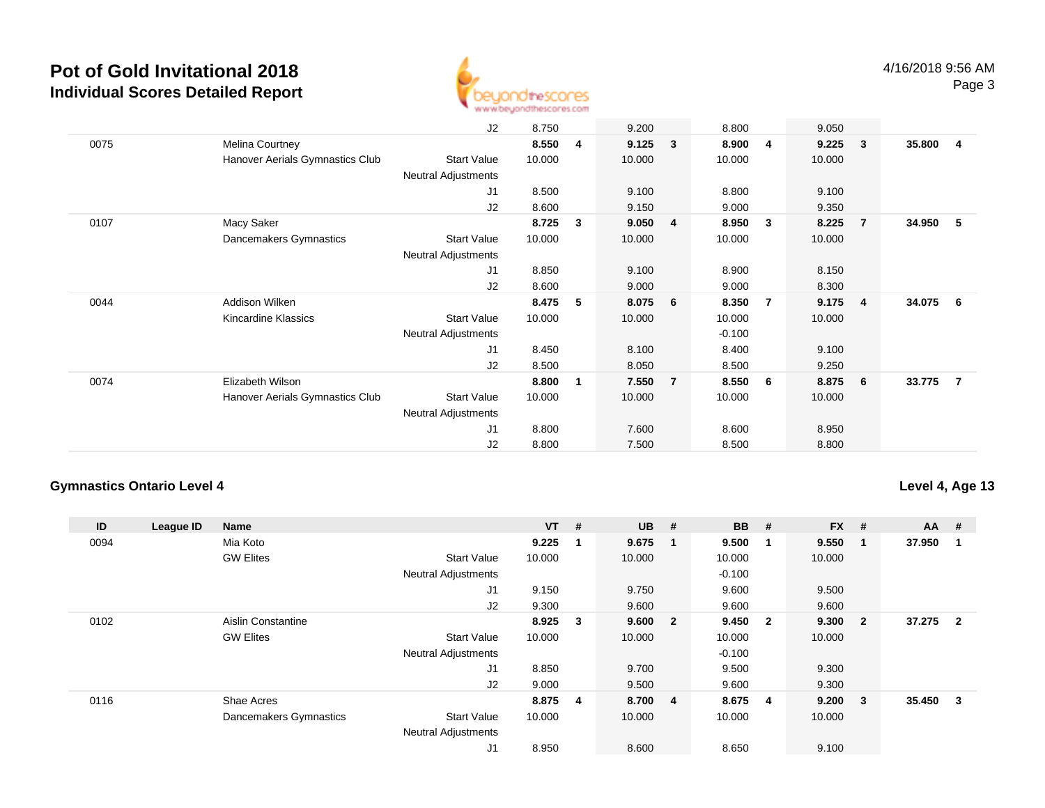

|      | J2                                                    | 8.750  |   | 9.200  |                         | 8.800    |                         | 9.050  |                         |        |                         |
|------|-------------------------------------------------------|--------|---|--------|-------------------------|----------|-------------------------|--------|-------------------------|--------|-------------------------|
| 0075 |                                                       | 8.550  | 4 | 9.125  | $\overline{\mathbf{3}}$ | 8.900    | $\overline{4}$          | 9.225  | $\overline{\mathbf{3}}$ | 35.800 | $\overline{\mathbf{4}}$ |
|      | Melina Courtney                                       |        |   |        |                         |          |                         |        |                         |        |                         |
|      | Hanover Aerials Gymnastics Club<br>Start Value        | 10.000 |   | 10.000 |                         | 10.000   |                         | 10.000 |                         |        |                         |
|      | <b>Neutral Adjustments</b>                            |        |   |        |                         |          |                         |        |                         |        |                         |
|      | J1                                                    | 8.500  |   | 9.100  |                         | 8.800    |                         | 9.100  |                         |        |                         |
|      | J2                                                    | 8.600  |   | 9.150  |                         | 9.000    |                         | 9.350  |                         |        |                         |
| 0107 | Macy Saker                                            | 8.725  | 3 | 9.050  | $\overline{\mathbf{4}}$ | 8.950    | $\overline{\mathbf{3}}$ | 8.225  | -7                      | 34.950 | -5                      |
|      | Dancemakers Gymnastics<br><b>Start Value</b>          | 10.000 |   | 10.000 |                         | 10.000   |                         | 10.000 |                         |        |                         |
|      | <b>Neutral Adjustments</b>                            |        |   |        |                         |          |                         |        |                         |        |                         |
|      | J <sub>1</sub>                                        | 8.850  |   | 9.100  |                         | 8.900    |                         | 8.150  |                         |        |                         |
|      | J2                                                    | 8.600  |   | 9.000  |                         | 9.000    |                         | 8.300  |                         |        |                         |
| 0044 | Addison Wilken                                        | 8.475  | 5 | 8.075  | 6                       | 8.350    | $\overline{7}$          | 9.175  | $\overline{4}$          | 34.075 | - 6                     |
|      | <b>Start Value</b><br>Kincardine Klassics             | 10.000 |   | 10.000 |                         | 10.000   |                         | 10.000 |                         |        |                         |
|      | <b>Neutral Adjustments</b>                            |        |   |        |                         | $-0.100$ |                         |        |                         |        |                         |
|      | J1                                                    | 8.450  |   | 8.100  |                         | 8.400    |                         | 9.100  |                         |        |                         |
|      | J2                                                    | 8.500  |   | 8.050  |                         | 8.500    |                         | 9.250  |                         |        |                         |
| 0074 | Elizabeth Wilson                                      | 8.800  | 1 | 7.550  | $\overline{7}$          | 8.550    | - 6                     | 8.875  | - 6                     | 33.775 | -7                      |
|      | Hanover Aerials Gymnastics Club<br><b>Start Value</b> | 10.000 |   | 10.000 |                         | 10.000   |                         | 10.000 |                         |        |                         |
|      | <b>Neutral Adjustments</b>                            |        |   |        |                         |          |                         |        |                         |        |                         |
|      | J1                                                    | 8.800  |   | 7.600  |                         | 8.600    |                         | 8.950  |                         |        |                         |
|      | J2                                                    | 8.800  |   | 7.500  |                         | 8.500    |                         | 8.800  |                         |        |                         |
|      |                                                       |        |   |        |                         |          |                         |        |                         |        |                         |

#### **Gymnastics Ontario Level 4**

**Level 4, Age 13**

| ID   | League ID | <b>Name</b>            |                            | <b>VT</b> | # | <b>UB</b> | #                       | <b>BB</b> | #                       | <b>FX</b> | #              | $AA$ # |                |
|------|-----------|------------------------|----------------------------|-----------|---|-----------|-------------------------|-----------|-------------------------|-----------|----------------|--------|----------------|
| 0094 |           | Mia Koto               |                            | 9.225     |   | 9.675     | $\blacksquare$          | 9.500     | -1                      | 9.550     | -1             | 37.950 | -1             |
|      |           | <b>GW Elites</b>       | <b>Start Value</b>         | 10.000    |   | 10.000    |                         | 10.000    |                         | 10.000    |                |        |                |
|      |           |                        | <b>Neutral Adjustments</b> |           |   |           |                         | $-0.100$  |                         |           |                |        |                |
|      |           |                        | J1                         | 9.150     |   | 9.750     |                         | 9.600     |                         | 9.500     |                |        |                |
|      |           |                        | J2                         | 9.300     |   | 9.600     |                         | 9.600     |                         | 9.600     |                |        |                |
| 0102 |           | Aislin Constantine     |                            | 8.925     | 3 | 9.600     | $\overline{\mathbf{2}}$ | 9.450     | $\overline{\mathbf{2}}$ | 9.300     | $\overline{2}$ | 37.275 | $\overline{2}$ |
|      |           | <b>GW Elites</b>       | <b>Start Value</b>         | 10.000    |   | 10.000    |                         | 10.000    |                         | 10.000    |                |        |                |
|      |           |                        | <b>Neutral Adjustments</b> |           |   |           |                         | $-0.100$  |                         |           |                |        |                |
|      |           |                        | J1                         | 8.850     |   | 9.700     |                         | 9.500     |                         | 9.300     |                |        |                |
|      |           |                        | J2                         | 9.000     |   | 9.500     |                         | 9.600     |                         | 9.300     |                |        |                |
| 0116 |           | Shae Acres             |                            | 8.875 4   |   | 8.700 4   |                         | 8.675     | - 4                     | 9.200     | $\mathbf{3}$   | 35.450 | 3              |
|      |           | Dancemakers Gymnastics | <b>Start Value</b>         | 10.000    |   | 10.000    |                         | 10.000    |                         | 10.000    |                |        |                |
|      |           |                        | <b>Neutral Adjustments</b> |           |   |           |                         |           |                         |           |                |        |                |
|      |           |                        | J1                         | 8.950     |   | 8.600     |                         | 8.650     |                         | 9.100     |                |        |                |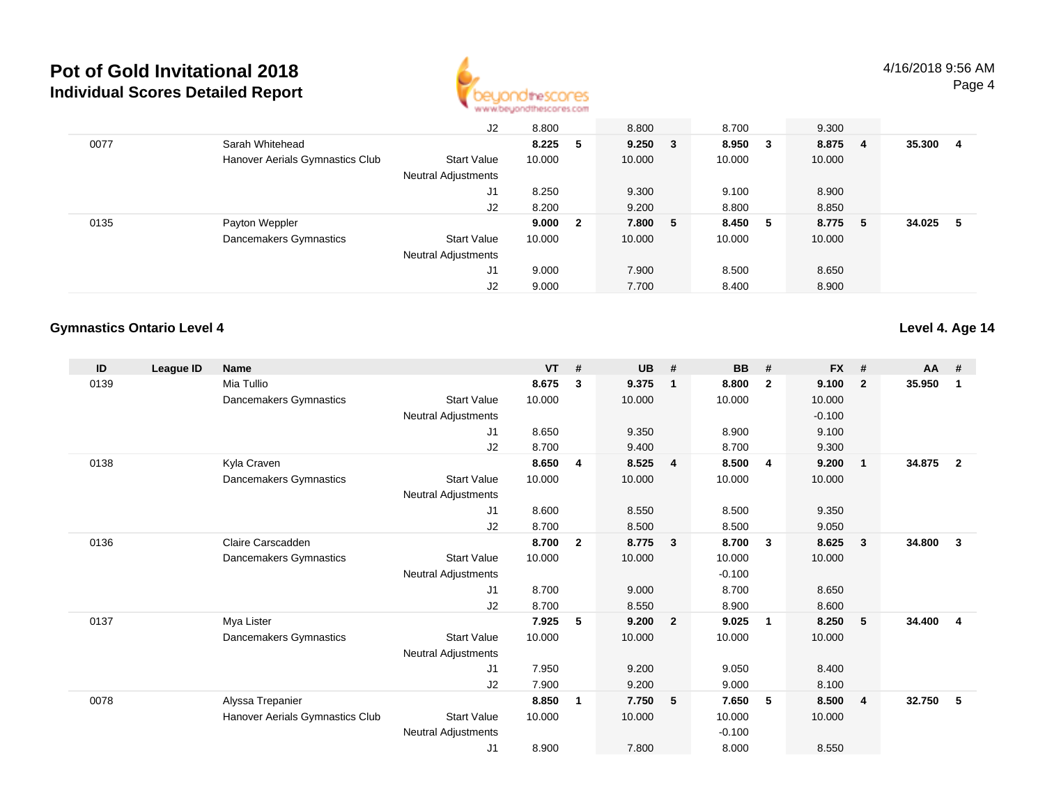

|      |                                 | J2                         | 8.800   |              | 8.800       | 8.700   | 9.300  |    |        |    |
|------|---------------------------------|----------------------------|---------|--------------|-------------|---------|--------|----|--------|----|
| 0077 | Sarah Whitehead                 |                            | 8.225 5 |              | $9.250 \t3$ | 8.950 3 | 8.875  | -4 | 35.300 | 4  |
|      | Hanover Aerials Gymnastics Club | <b>Start Value</b>         | 10.000  |              | 10.000      | 10.000  | 10.000 |    |        |    |
|      |                                 | <b>Neutral Adjustments</b> |         |              |             |         |        |    |        |    |
|      |                                 | J1                         | 8.250   |              | 9.300       | 9.100   | 8.900  |    |        |    |
|      |                                 | J2                         | 8.200   |              | 9.200       | 8.800   | 8.850  |    |        |    |
| 0135 | Payton Weppler                  |                            | 9.000   | $\mathbf{2}$ | 7.800 5     | 8.450 5 | 8.775  | -5 | 34.025 | -5 |
|      | Dancemakers Gymnastics          | <b>Start Value</b>         | 10.000  |              | 10.000      | 10.000  | 10.000 |    |        |    |
|      |                                 | <b>Neutral Adjustments</b> |         |              |             |         |        |    |        |    |
|      |                                 | J1                         | 9.000   |              | 7.900       | 8.500   | 8.650  |    |        |    |
|      |                                 | J2                         | 9.000   |              | 7.700       | 8.400   | 8.900  |    |        |    |

#### **Gymnastics Ontario Level 4**

**Level 4. Age 14**

| ID   | League ID | <b>Name</b>                     |                            | <b>VT</b> | #              | <b>UB</b> | #                       | <b>BB</b> | #              | <b>FX</b> | #              | $AA$ # |                |
|------|-----------|---------------------------------|----------------------------|-----------|----------------|-----------|-------------------------|-----------|----------------|-----------|----------------|--------|----------------|
| 0139 |           | Mia Tullio                      |                            | 8.675     | 3              | 9.375     | $\mathbf 1$             | 8.800     | $\overline{2}$ | 9.100     | $\overline{2}$ | 35.950 | 1              |
|      |           | Dancemakers Gymnastics          | <b>Start Value</b>         | 10.000    |                | 10.000    |                         | 10.000    |                | 10.000    |                |        |                |
|      |           |                                 | <b>Neutral Adjustments</b> |           |                |           |                         |           |                | $-0.100$  |                |        |                |
|      |           |                                 | J1                         | 8.650     |                | 9.350     |                         | 8.900     |                | 9.100     |                |        |                |
|      |           |                                 | J2                         | 8.700     |                | 9.400     |                         | 8.700     |                | 9.300     |                |        |                |
| 0138 |           | Kyla Craven                     |                            | 8.650     | $\overline{4}$ | 8.525     | $\overline{4}$          | 8.500     | $\overline{4}$ | 9.200     | $\mathbf{1}$   | 34.875 | $\overline{2}$ |
|      |           | Dancemakers Gymnastics          | <b>Start Value</b>         | 10.000    |                | 10.000    |                         | 10.000    |                | 10.000    |                |        |                |
|      |           |                                 | Neutral Adjustments        |           |                |           |                         |           |                |           |                |        |                |
|      |           |                                 | J <sub>1</sub>             | 8.600     |                | 8.550     |                         | 8.500     |                | 9.350     |                |        |                |
|      |           |                                 | J2                         | 8.700     |                | 8.500     |                         | 8.500     |                | 9.050     |                |        |                |
| 0136 |           | Claire Carscadden               |                            | 8.700     | $\mathbf{2}$   | 8.775     | $\overline{\mathbf{3}}$ | 8.700     | 3              | 8.625     | 3              | 34.800 | 3              |
|      |           | Dancemakers Gymnastics          | <b>Start Value</b>         | 10.000    |                | 10.000    |                         | 10.000    |                | 10.000    |                |        |                |
|      |           |                                 | <b>Neutral Adjustments</b> |           |                |           |                         | $-0.100$  |                |           |                |        |                |
|      |           |                                 | J1                         | 8.700     |                | 9.000     |                         | 8.700     |                | 8.650     |                |        |                |
|      |           |                                 | J2                         | 8.700     |                | 8.550     |                         | 8.900     |                | 8.600     |                |        |                |
| 0137 |           | Mya Lister                      |                            | 7.925     | 5              | 9.200     | $\overline{\mathbf{2}}$ | 9.025     | -1             | 8.250     | 5              | 34.400 | 4              |
|      |           | Dancemakers Gymnastics          | <b>Start Value</b>         | 10.000    |                | 10.000    |                         | 10.000    |                | 10.000    |                |        |                |
|      |           |                                 | <b>Neutral Adjustments</b> |           |                |           |                         |           |                |           |                |        |                |
|      |           |                                 | J1                         | 7.950     |                | 9.200     |                         | 9.050     |                | 8.400     |                |        |                |
|      |           |                                 | J <sub>2</sub>             | 7.900     |                | 9.200     |                         | 9.000     |                | 8.100     |                |        |                |
| 0078 |           | Alyssa Trepanier                |                            | 8.850     | 1              | 7.750     | -5                      | 7.650     | 5              | 8.500     | $\overline{4}$ | 32.750 | 5              |
|      |           | Hanover Aerials Gymnastics Club | <b>Start Value</b>         | 10.000    |                | 10.000    |                         | 10.000    |                | 10.000    |                |        |                |
|      |           |                                 | <b>Neutral Adjustments</b> |           |                |           |                         | $-0.100$  |                |           |                |        |                |
|      |           |                                 | J1                         | 8.900     |                | 7.800     |                         | 8.000     |                | 8.550     |                |        |                |